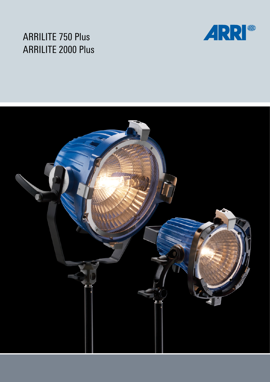## ARRILITE 750 Plus ARRILITE 2000 Plus



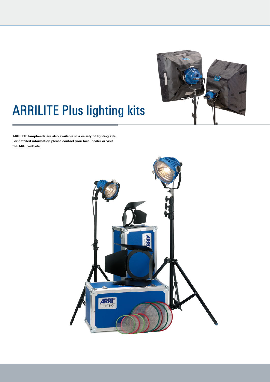

# ARRILITE Plus lighting kits

**ARRILITE lampheads are also available in a variety of lighting kits. For detailed information please contact your local dealer or visit the ARRI website.**

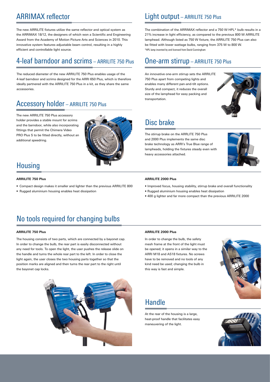### ARRIMAX reflector

The new ARRILITE fixtures utilize the same reflector and optical system as the ARRIMAX 18/12, the designers of which won a Scientific and Engineering Award from the Academy of Motion Picture Arts and Sciences in 2010. This innovative system features adjustable beam control, resulting in a highly efficient and controllable light source.

### 4-leaf barndoor and scrims – ARRILITE 750 Plus

The reduced diameter of the new ARRILITE 750 Plus enables usage of the 4-leaf barndoor and scrims designed for the ARRI 650 Plus, which is therefore ideally partnered with the ARRILITE 750 Plus in a kit, as they share the same accessories.

### Accessory holder – ARRILITE 750 Plus

The new ARRILITE 750 Plus accessory holder provides a stable mount for scrims and the barndoor, while also incorporating fittings that permit the Chimera Video PRO Plus S to be fitted directly, without an additional speedring.



### Housing

#### **ARRILITE 750 Plus**

- Compact design makes it smaller and lighter than the previous ARRILITE 800
- Rugged aluminium housing enables heat dissipation

### Light output – ARRILITE 750 Plus

The combination of the ARRIMAX reflector and a 750 W HPL\* bulb results in a 21% increase in light efficiency, as compared to the previous 800 W ARRILITE lamphead. Although listed as 750 W fixture, the ARRILITE 750 Plus can also be fitted with lower wattage bulbs, ranging from 375 W to 800 W. \*HPL lamp invented by and licensed from David Cunningham

### One-arm stirrup – ARRILITE 750 Plus

An innovative one-arm stirrup sets the ARRILITE 750 Plus apart from competing lights and enables many different pan-and-tilt options. Sturdy and compact, it reduces the overall size of the lamphead for easy packing and transportation.



### Disc brake

The stirrup brake on the ARRLITE 750 Plus and 2000 Plus implements the same disc brake technology as ARRI's True Blue range of lampheads, holding the fixtures steady even with heavy accessories attached.



#### **ARRILITE 2000 Plus**

- Improved focus, housing stability, stirrup brake and overall functionality
- Rugged aluminium housing enables heat dissipation
- 400 g lighter and far more compact than the previous ARRILITE 2000

### No tools required for changing bulbs

#### **ARRILITE 750 Plus**

The housing consists of two parts, which are connected by a bayonet cap. In order to change the bulb, the rear part is easily disconnected without any need for tools. To open the light, the user pushes the release slide on the handle and turns the whole rear part to the left. In order to close the light again, the user closes the two housing parts together so that the position marks are aligned and then turns the rear part to the right until the bayonet cap locks.



#### **ARRILITE 2000 Plus**

In order to change the bulb, the safety mesh frame at the front of the light must be opened; it opens in a similar way to the ARRI M18 and AS18 fixtures. No screws have to be removed and no tools of any kind need be used; changing the bulb in this way is fast and simple.



### **Handle**

At the rear of the housing is a large, heat-proof handle that facilitates easy maneuvering of the light.

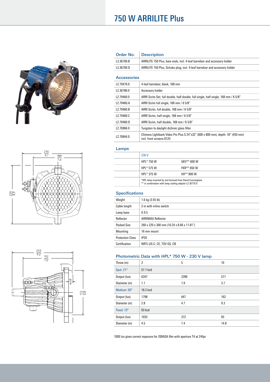





### 750 W ARRILITE Plus

| Order No.          | <b>Description</b>                                                                                         |
|--------------------|------------------------------------------------------------------------------------------------------------|
| L3.36700.B         | ARRILITE 750 Plus, bare ends, incl. 4-leaf barndoor and accessory holder                                   |
| L3.36700.D         | ARRILITE 750 Plus, Schuko plug, incl. 4-leaf barndoor and accessory holder                                 |
| <b>Accessories</b> |                                                                                                            |
| L2.79470.0         | 4-leaf barndoor, black, 168 mm                                                                             |
| L2.36780.0         | Accessory holder                                                                                           |
| L2.79460.0         | ARRI Scrim Set, full double, half double, full single, half single, 168 mm / 6 5/8"                        |
| L2.79460.A         | ARRI Scrim full single, 168 mm / 6 5/8"                                                                    |
| L2.79460.B         | ARRI Scrim, full double, 168 mm / 6 5/8"                                                                   |
| L2.79460.C         | ARRI Scrim, half single, 168 mm / 6 5/8"                                                                   |
| L2.79460.D         | ARRI Scrim, half double, 168 mm / 6 5/8"                                                                   |
| L2.76966.0         | Tungsten to daylight dichroic glass filter                                                                 |
| L2.70844.0         | Chimera Lightbank Video Pro Plus S 24"x32" (600 x 800 mm), depth: 18" (450 mm)<br>incl. front screens 8125 |

#### Lamps

| 230 V                                                                                                              |             |
|--------------------------------------------------------------------------------------------------------------------|-------------|
| HPL* 750 W                                                                                                         | $GKV**600W$ |
| HPL* 575 W                                                                                                         | FKR** 650 W |
| HPL* 375 W                                                                                                         | HX** 800 W  |
| *HPL lamp invented by and licensed from David Cunningham<br>** in combination with lamp cooling adapter L2.36770.0 |             |

#### **Specifications**

| Weight                  | 1.6 kg $(3.55 \, lb)$                      |
|-------------------------|--------------------------------------------|
| Cable length            | 3 m with inline switch                     |
| Lamp base               | G 9.5                                      |
| Reflector               | <b>ARRIMAX Reflector</b>                   |
| <b>Packed Size</b>      | 260 x 220 x 300 mm (10.24 x 8.66 x 11.81") |
| Mounting                | 16 mm mount                                |
| <b>Protection Class</b> | IP20                                       |
| Certification           | NRTL-US-C, CE, TÜV GS, CB                  |

#### Photometric Data with HPL\* 750 W - 230 V lamp

| Throw (m)    | 3        | 5    | 10   |
|--------------|----------|------|------|
| Spot: 21°    | 57.1 kcd |      |      |
| Output (lux) | 6347     | 2289 | 571  |
| Diameter (m) | 1.1      | 1.9  | 3.7  |
| Medium: 50°  | 16.2 kcd |      |      |
| Output (lux) | 1798     | 647  | 162  |
| Diameter (m) | 2.8      | 4.7  | 9.3  |
| Flood: 73°   | 93 kcd   |      |      |
| Output (lux) | 1033     | 372  | 93   |
| Diameter (m) | 4.5      | 7.4  | 14.8 |
|              |          |      |      |

1000 lux gives correct exposure for 200ASA film with aperture T4 at 24fps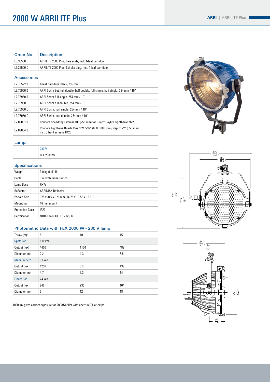### 2000 W ARRILITE Plus

| <b>ARRI</b><br><b>ARRILITE Plus</b> |
|-------------------------------------|
|-------------------------------------|

#### Order No. Description

| L3.36500.B         | ARRILITE 2000 Plus, bare ends, incl. 4-leaf barndoor                                                      |  |  |
|--------------------|-----------------------------------------------------------------------------------------------------------|--|--|
| L3.36500.D         | ARRILITE 2000 Plus, Schuko plug, incl. 4-leaf barndoor                                                    |  |  |
| <b>Accessories</b> |                                                                                                           |  |  |
| L2.76522.0         | 4-leaf barndoor, black, 235 mm                                                                            |  |  |
| L2.76950.0         | ARRI Scrim Set, full double, half double, full single, half single, 254 mm / 10"                          |  |  |
| L2.76950.A         | ARRI Scrim full single, 254 mm / 10"                                                                      |  |  |
| L2.76950.B         | ARRI Scrim full double, 254 mm / 10"                                                                      |  |  |
| L2.76950.C         | ARRI Scrim, half single, 254 mm / 10"                                                                     |  |  |
| L2.76950.D         | ARRI Scrim, half double, 254 mm / 10"                                                                     |  |  |
| L2.89061.0         | Chimera Speedring Circular 10" (255 mm) for Quartz Daylite Lightbanks 9225                                |  |  |
| L2.89054.0         | Chimera Lightbank Quartz Plus S 24"x32" (600 x 800 mm), depth: 22" (550 mm)<br>incl. 3 front screens 8425 |  |  |

#### Lamps

| 230 V             |
|-------------------|
| <b>FEX 2000 W</b> |

#### **Specifications**

| Weight                  | $3.0$ kg (6.61 lb)                         |
|-------------------------|--------------------------------------------|
| Cable                   | 3 m with inline switch                     |
| Lamp Base               | RX7s                                       |
| Reflector               | <b>ARRIMAX Reflector</b>                   |
| Packed Size             | 375 x 345 x 320 mm (14.75 x 13.58 x 12.6") |
| Mounting                | 16 mm mount                                |
| <b>Protection Class</b> | IP20                                       |
| Certification           | NRTL-US-C, CE, TÜV GS, CB                  |

#### Photometric Data with FEX 2000 W - 230 V lamp

| Throw $(m)$ : | 5       | 10   | 15  |
|---------------|---------|------|-----|
| Spot: 24°     | 110 kcd |      |     |
| Output (lux)  | 4400    | 1100 | 489 |
| Diameter (m)  | 2.2     | 4.3  | 6.5 |
| Medium: 50°   | 31 kcd  |      |     |
| Output (lux   | 1250    | 313  | 139 |
| Diameter (m)  | 4.7     | 9.3  | 14  |
| Flood: 63°    | 24 kcd  |      |     |
| Output (lux   | 940     | 235  | 104 |
| Diameter (m)  | 6       | 12   | 18  |

1000 lux gives correct exposure for 200ASA film with aperture T4 at 24fps